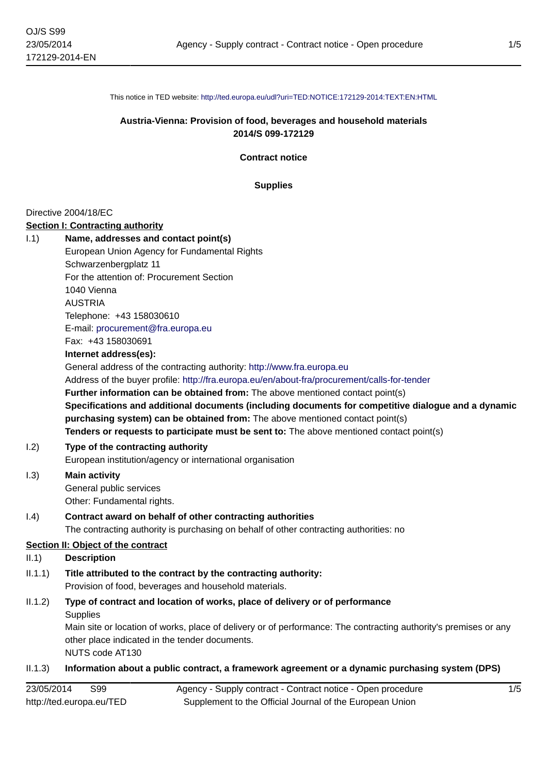This notice in TED website: <http://ted.europa.eu/udl?uri=TED:NOTICE:172129-2014:TEXT:EN:HTML>

### **Austria-Vienna: Provision of food, beverages and household materials 2014/S 099-172129**

**Contract notice**

**Supplies**

#### Directive 2004/18/EC

#### **Section I: Contracting authority**

I.1) **Name, addresses and contact point(s)** European Union Agency for Fundamental Rights Schwarzenbergplatz 11 For the attention of: Procurement Section 1040 Vienna AUSTRIA Telephone: +43 158030610

E-mail: [procurement@fra.europa.eu](mailto:procurement@fra.europa.eu) Fax: +43 158030691

#### **Internet address(es):**

General address of the contracting authority: <http://www.fra.europa.eu> Address of the buyer profile: <http://fra.europa.eu/en/about-fra/procurement/calls-for-tender> **Further information can be obtained from:** The above mentioned contact point(s) **Specifications and additional documents (including documents for competitive dialogue and a dynamic purchasing system) can be obtained from:** The above mentioned contact point(s) **Tenders or requests to participate must be sent to:** The above mentioned contact point(s)

#### I.2) **Type of the contracting authority**

European institution/agency or international organisation

I.3) **Main activity** General public services

Other: Fundamental rights.

#### I.4) **Contract award on behalf of other contracting authorities**

The contracting authority is purchasing on behalf of other contracting authorities: no

### **Section II: Object of the contract**

### II.1) **Description**

II.1.1) **Title attributed to the contract by the contracting authority:** Provision of food, beverages and household materials.

#### II.1.2) **Type of contract and location of works, place of delivery or of performance Supplies**

Main site or location of works, place of delivery or of performance: The contracting authority's premises or any other place indicated in the tender documents.

NUTS code AT130

#### II.1.3) **Information about a public contract, a framework agreement or a dynamic purchasing system (DPS)**

| 23/05/2014<br>S99        | Agency - Supply contract - Contract notice - Open procedure |
|--------------------------|-------------------------------------------------------------|
| http://ted.europa.eu/TED | Supplement to the Official Journal of the European Union    |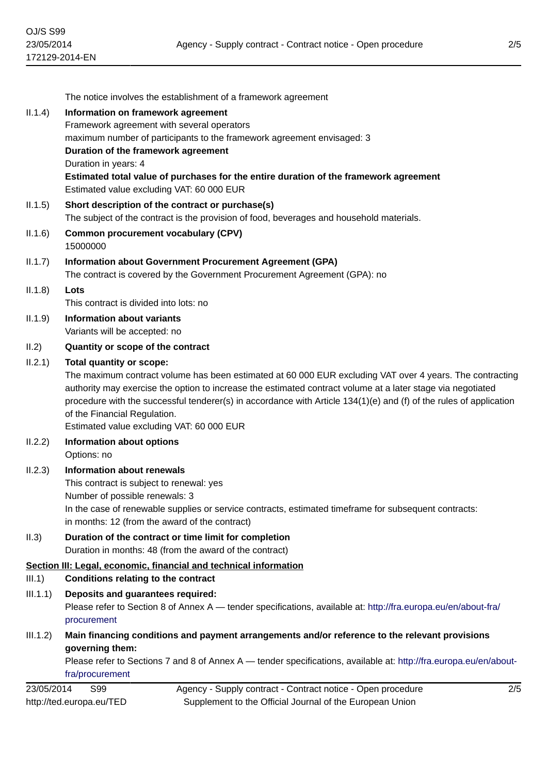|            | The notice involves the establishment of a framework agreement                                                                                                                                                                                                                                                                                                                                                                                                |  |
|------------|---------------------------------------------------------------------------------------------------------------------------------------------------------------------------------------------------------------------------------------------------------------------------------------------------------------------------------------------------------------------------------------------------------------------------------------------------------------|--|
| II.1.4)    | Information on framework agreement                                                                                                                                                                                                                                                                                                                                                                                                                            |  |
|            | Framework agreement with several operators                                                                                                                                                                                                                                                                                                                                                                                                                    |  |
|            | maximum number of participants to the framework agreement envisaged: 3                                                                                                                                                                                                                                                                                                                                                                                        |  |
|            | Duration of the framework agreement                                                                                                                                                                                                                                                                                                                                                                                                                           |  |
|            | Duration in years: 4                                                                                                                                                                                                                                                                                                                                                                                                                                          |  |
|            | Estimated total value of purchases for the entire duration of the framework agreement<br>Estimated value excluding VAT: 60 000 EUR                                                                                                                                                                                                                                                                                                                            |  |
| II.1.5)    | Short description of the contract or purchase(s)<br>The subject of the contract is the provision of food, beverages and household materials.                                                                                                                                                                                                                                                                                                                  |  |
| II.1.6)    | <b>Common procurement vocabulary (CPV)</b><br>15000000                                                                                                                                                                                                                                                                                                                                                                                                        |  |
| II.1.7)    | Information about Government Procurement Agreement (GPA)<br>The contract is covered by the Government Procurement Agreement (GPA): no                                                                                                                                                                                                                                                                                                                         |  |
| II.1.8)    | Lots                                                                                                                                                                                                                                                                                                                                                                                                                                                          |  |
|            | This contract is divided into lots: no                                                                                                                                                                                                                                                                                                                                                                                                                        |  |
| II.1.9)    | <b>Information about variants</b>                                                                                                                                                                                                                                                                                                                                                                                                                             |  |
|            | Variants will be accepted: no                                                                                                                                                                                                                                                                                                                                                                                                                                 |  |
| II.2)      | Quantity or scope of the contract                                                                                                                                                                                                                                                                                                                                                                                                                             |  |
| II.2.1)    | <b>Total quantity or scope:</b><br>The maximum contract volume has been estimated at 60 000 EUR excluding VAT over 4 years. The contracting<br>authority may exercise the option to increase the estimated contract volume at a later stage via negotiated<br>procedure with the successful tenderer(s) in accordance with Article 134(1)(e) and (f) of the rules of application<br>of the Financial Regulation.<br>Estimated value excluding VAT: 60 000 EUR |  |
| II.2.2)    | Information about options<br>Options: no                                                                                                                                                                                                                                                                                                                                                                                                                      |  |
| II.2.3)    | Information about renewals<br>This contract is subject to renewal: yes                                                                                                                                                                                                                                                                                                                                                                                        |  |
|            | Number of possible renewals: 3<br>In the case of renewable supplies or service contracts, estimated timeframe for subsequent contracts:<br>in months: 12 (from the award of the contract)                                                                                                                                                                                                                                                                     |  |
| II.3)      | Duration of the contract or time limit for completion<br>Duration in months: 48 (from the award of the contract)                                                                                                                                                                                                                                                                                                                                              |  |
| III.1)     | Section III: Legal, economic, financial and technical information<br><b>Conditions relating to the contract</b>                                                                                                                                                                                                                                                                                                                                               |  |
| III.1.1)   | Deposits and guarantees required:<br>Please refer to Section 8 of Annex A — tender specifications, available at: http://fra.europa.eu/en/about-fra/<br>procurement                                                                                                                                                                                                                                                                                            |  |
| III.1.2)   | Main financing conditions and payment arrangements and/or reference to the relevant provisions                                                                                                                                                                                                                                                                                                                                                                |  |
|            | governing them:<br>Please refer to Sections 7 and 8 of Annex A — tender specifications, available at: http://fra.europa.eu/en/about-<br>fra/procurement                                                                                                                                                                                                                                                                                                       |  |
| 23/05/2014 | S99<br>Agency - Supply contract - Contract notice - Open procedure<br>2/5                                                                                                                                                                                                                                                                                                                                                                                     |  |
|            | http://ted.europa.eu/TED<br>Supplement to the Official Journal of the European Union                                                                                                                                                                                                                                                                                                                                                                          |  |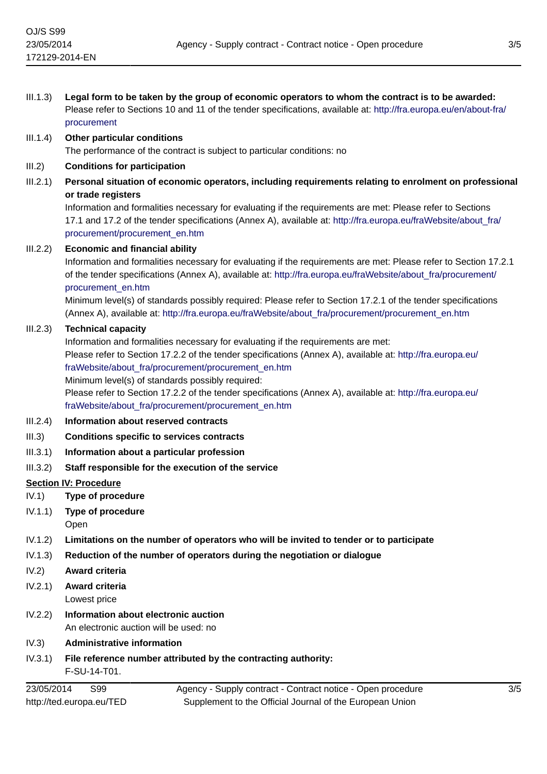| III.1.3) | Legal form to be taken by the group of economic operators to whom the contract is to be awarded:<br>Please refer to Sections 10 and 11 of the tender specifications, available at: http://fra.europa.eu/en/about-fra/<br>procurement                                                                       |
|----------|------------------------------------------------------------------------------------------------------------------------------------------------------------------------------------------------------------------------------------------------------------------------------------------------------------|
| III.1.4) | Other particular conditions                                                                                                                                                                                                                                                                                |
|          | The performance of the contract is subject to particular conditions: no                                                                                                                                                                                                                                    |
| III.2)   | <b>Conditions for participation</b>                                                                                                                                                                                                                                                                        |
| III.2.1) | Personal situation of economic operators, including requirements relating to enrolment on professional<br>or trade registers<br>Information and formalities necessary for evaluating if the requirements are met: Please refer to Sections                                                                 |
|          | 17.1 and 17.2 of the tender specifications (Annex A), available at: http://fra.europa.eu/fraWebsite/about fra/<br>procurement/procurement_en.htm                                                                                                                                                           |
| III.2.2) | <b>Economic and financial ability</b>                                                                                                                                                                                                                                                                      |
|          | Information and formalities necessary for evaluating if the requirements are met: Please refer to Section 17.2.1<br>of the tender specifications (Annex A), available at: http://fra.europa.eu/fraWebsite/about_fra/procurement/<br>procurement_en.htm                                                     |
|          | Minimum level(s) of standards possibly required: Please refer to Section 17.2.1 of the tender specifications<br>(Annex A), available at: http://fra.europa.eu/fraWebsite/about_fra/procurement/procurement_en.htm                                                                                          |
| III.2.3) | <b>Technical capacity</b>                                                                                                                                                                                                                                                                                  |
|          | Information and formalities necessary for evaluating if the requirements are met:<br>Please refer to Section 17.2.2 of the tender specifications (Annex A), available at: http://fra.europa.eu/<br>fraWebsite/about_fra/procurement/procurement_en.htm<br>Minimum level(s) of standards possibly required: |
|          | Please refer to Section 17.2.2 of the tender specifications (Annex A), available at: http://fra.europa.eu/<br>fraWebsite/about_fra/procurement/procurement_en.htm                                                                                                                                          |
| III.2.4) | Information about reserved contracts                                                                                                                                                                                                                                                                       |
| III.3)   | <b>Conditions specific to services contracts</b>                                                                                                                                                                                                                                                           |
| III.3.1) | Information about a particular profession                                                                                                                                                                                                                                                                  |
| III.3.2) | Staff responsible for the execution of the service                                                                                                                                                                                                                                                         |
|          | <b>Section IV: Procedure</b>                                                                                                                                                                                                                                                                               |
| IV.1)    | Type of procedure                                                                                                                                                                                                                                                                                          |
| IV.1.1)  | Type of procedure<br>Open                                                                                                                                                                                                                                                                                  |
| IV.1.2)  | Limitations on the number of operators who will be invited to tender or to participate                                                                                                                                                                                                                     |
| IV.1.3)  | Reduction of the number of operators during the negotiation or dialogue                                                                                                                                                                                                                                    |
| IV.2)    | Award criteria                                                                                                                                                                                                                                                                                             |
| IV.2.1)  | Award criteria<br>Lowest price                                                                                                                                                                                                                                                                             |
| IV.2.2)  | Information about electronic auction<br>An electronic auction will be used: no                                                                                                                                                                                                                             |

IV.3) **Administrative information**

## IV.3.1) **File reference number attributed by the contracting authority:** F-SU-14-T01.